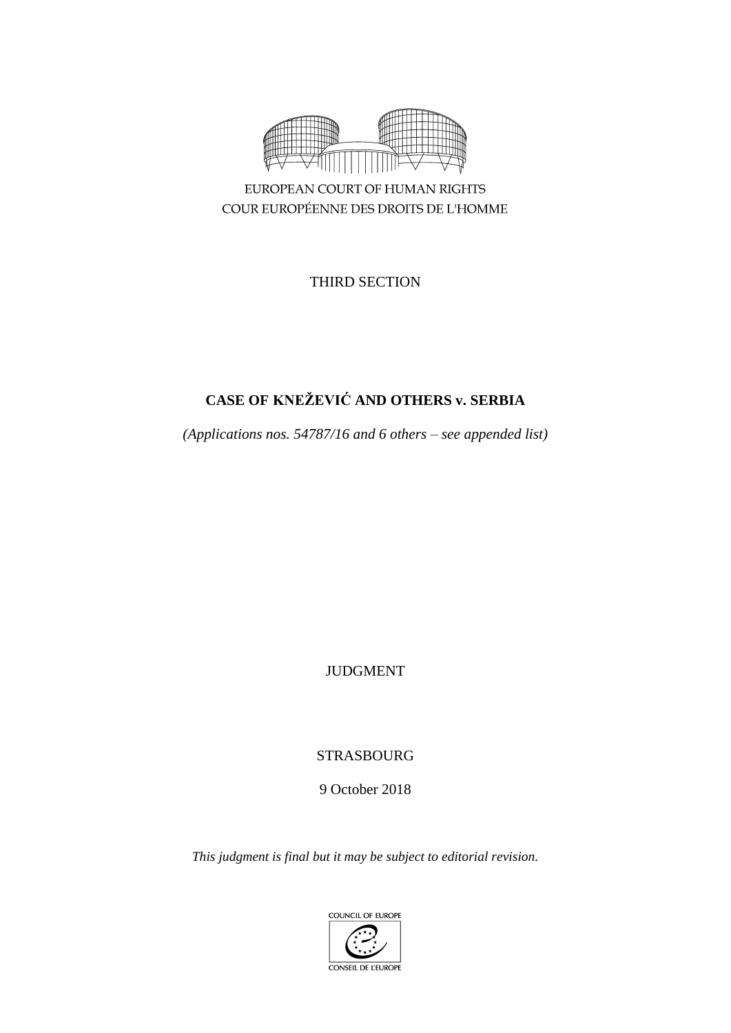

COUR EUROPÉENNE DES DROITS DE L'HOMME

THIRD SECTION

# **CASE OF KNEŽEVIĆ AND OTHERS v. SERBIA**

*(Applications nos. 54787/16 and 6 others – see appended list)*

JUDGMENT

STRASBOURG

9 October 2018

*This judgment is final but it may be subject to editorial revision.*

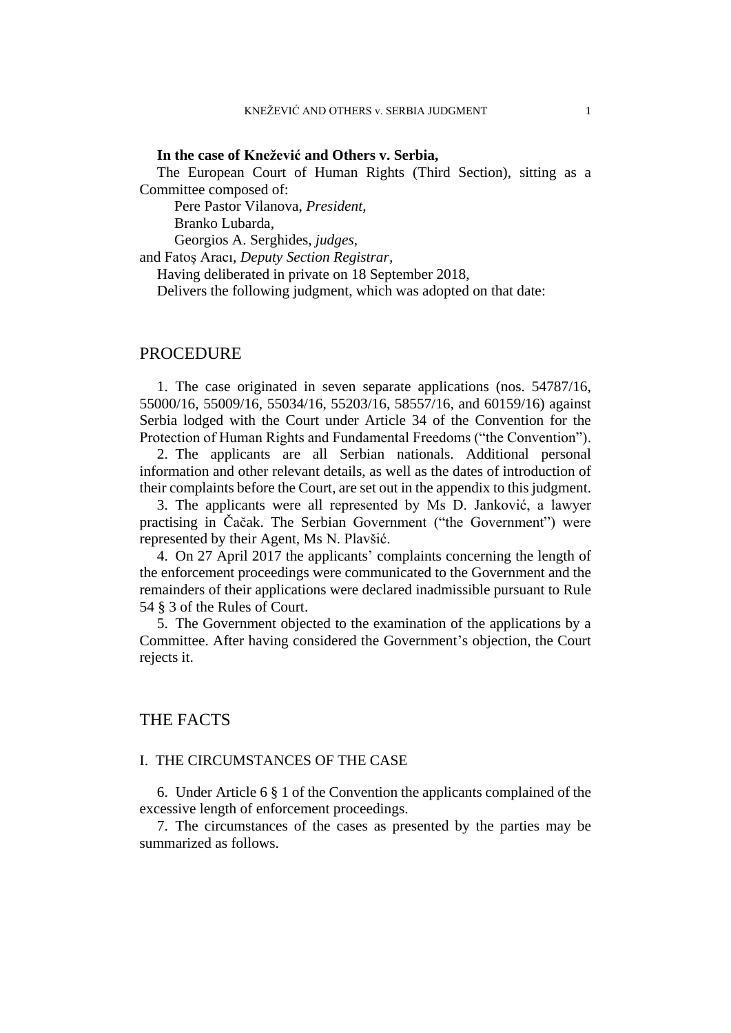#### **In the case of Knežević and Others v. Serbia,**

The European Court of Human Rights (Third Section), sitting as a Committee composed of:

Pere Pastor Vilanova, *President,* Branko Lubarda, Georgios A. Serghides, *judges,*

and Fatoş Aracı, *Deputy Section Registrar,*

Having deliberated in private on 18 September 2018,

Delivers the following judgment, which was adopted on that date:

## PROCEDURE

1. The case originated in seven separate applications (nos. 54787/16, 55000/16, 55009/16, 55034/16, 55203/16, 58557/16, and 60159/16) against Serbia lodged with the Court under Article 34 of the Convention for the Protection of Human Rights and Fundamental Freedoms ("the Convention").

2. The applicants are all Serbian nationals. Additional personal information and other relevant details, as well as the dates of introduction of their complaints before the Court, are set out in the appendix to this judgment.

3. The applicants were all represented by Ms D. Janković, a lawyer practising in Čačak. The Serbian Government ("the Government") were represented by their Agent, Ms N. Plavšić.

4. On 27 April 2017 the applicants' complaints concerning the length of the enforcement proceedings were communicated to the Government and the remainders of their applications were declared inadmissible pursuant to Rule 54 § 3 of the Rules of Court.

5. The Government objected to the examination of the applications by a Committee. After having considered the Government's objection, the Court rejects it.

## THE FACTS

#### I. THE CIRCUMSTANCES OF THE CASE

6. Under Article 6 § 1 of the Convention the applicants complained of the excessive length of enforcement proceedings.

7. The circumstances of the cases as presented by the parties may be summarized as follows.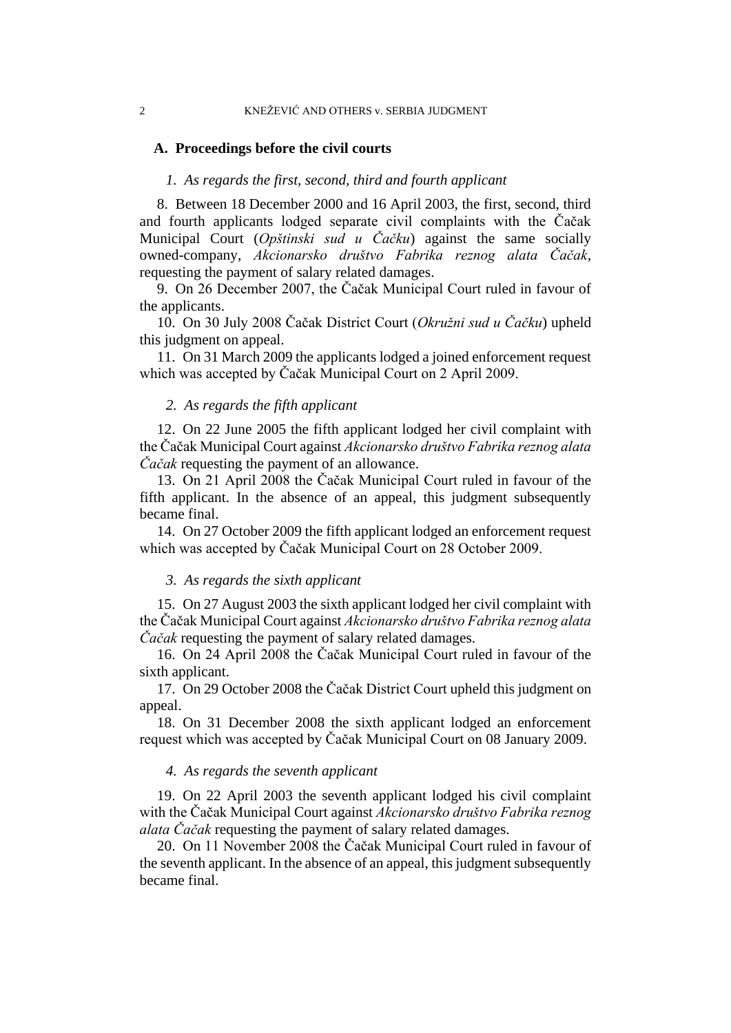#### **A. Proceedings before the civil courts**

### *1. As regards the first, second, third and fourth applicant*

8. Between 18 December 2000 and 16 April 2003, the first, second, third and fourth applicants lodged separate civil complaints with the Čačak Municipal Court (*Opštinski sud u Čačku*) against the same socially owned-company, *Akcionarsko društvo Fabrika reznog alata Čačak*, requesting the payment of salary related damages.

9. On 26 December 2007, the Čačak Municipal Court ruled in favour of the applicants.

10. On 30 July 2008 Čačak District Court (*Okružni sud u Čačku*) upheld this judgment on appeal.

11. On 31 March 2009 the applicants lodged a joined enforcement request which was accepted by Čačak Municipal Court on 2 April 2009.

#### *2. As regards the fifth applicant*

12. On 22 June 2005 the fifth applicant lodged her civil complaint with the Čačak Municipal Court against *Akcionarsko društvo Fabrika reznog alata Čačak* requesting the payment of an allowance.

13. On 21 April 2008 the Čačak Municipal Court ruled in favour of the fifth applicant. In the absence of an appeal, this judgment subsequently became final.

14. On 27 October 2009 the fifth applicant lodged an enforcement request which was accepted by Čačak Municipal Court on 28 October 2009.

#### *3. As regards the sixth applicant*

15. On 27 August 2003 the sixth applicant lodged her civil complaint with the Čačak Municipal Court against *Akcionarsko društvo Fabrika reznog alata Čačak* requesting the payment of salary related damages.

16. On 24 April 2008 the Čačak Municipal Court ruled in favour of the sixth applicant.

17. On 29 October 2008 the Čačak District Court upheld this judgment on appeal.

18. On 31 December 2008 the sixth applicant lodged an enforcement request which was accepted by Čačak Municipal Court on 08 January 2009.

#### *4. As regards the seventh applicant*

19. On 22 April 2003 the seventh applicant lodged his civil complaint with the Čačak Municipal Court against *Akcionarsko društvo Fabrika reznog alata Čačak* requesting the payment of salary related damages.

20. On 11 November 2008 the Čačak Municipal Court ruled in favour of the seventh applicant. In the absence of an appeal, this judgment subsequently became final.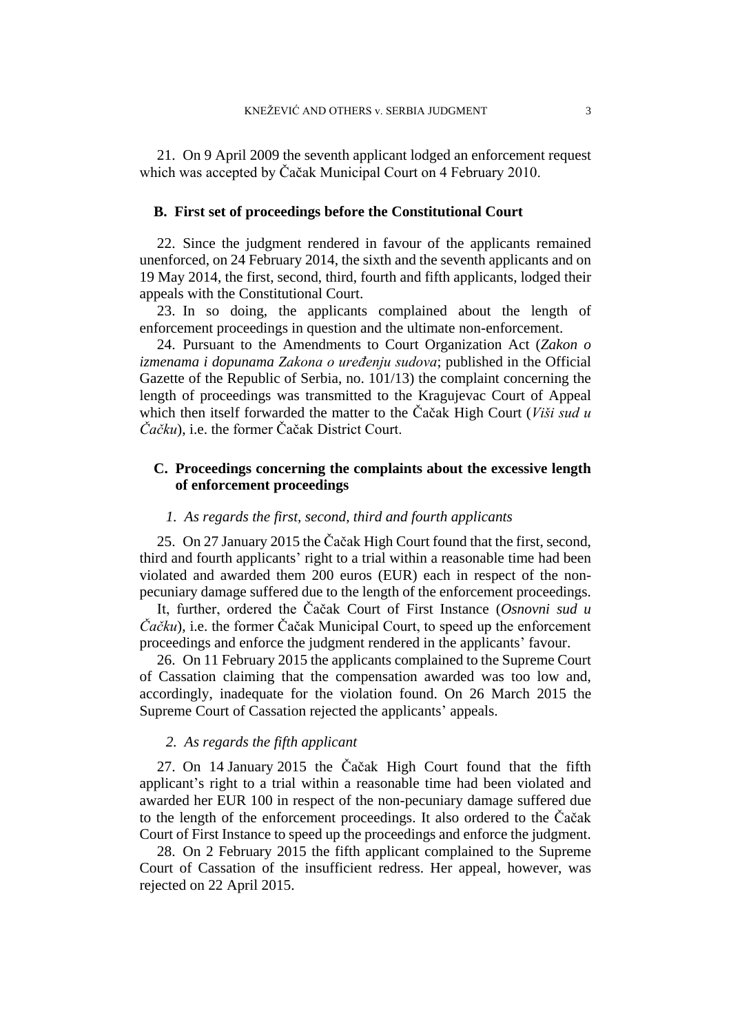21. On 9 April 2009 the seventh applicant lodged an enforcement request which was accepted by Čačak Municipal Court on 4 February 2010.

#### **B. First set of proceedings before the Constitutional Court**

22. Since the judgment rendered in favour of the applicants remained unenforced, on 24 February 2014, the sixth and the seventh applicants and on 19 May 2014, the first, second, third, fourth and fifth applicants, lodged their appeals with the Constitutional Court.

23. In so doing, the applicants complained about the length of enforcement proceedings in question and the ultimate non-enforcement.

24. Pursuant to the Amendments to Court Organization Act (*Zakon o izmenama i dopunama Zakona o uređenju sudova*; published in the Official Gazette of the Republic of Serbia, no. 101/13) the complaint concerning the length of proceedings was transmitted to the Kragujevac Court of Appeal which then itself forwarded the matter to the Čačak High Court (*Viši sud u Čačku*), i.e. the former Čačak District Court.

## **C. Proceedings concerning the complaints about the excessive length of enforcement proceedings**

#### *1. As regards the first, second, third and fourth applicants*

<span id="page-4-0"></span>25. On 27 January 2015 the Čačak High Court found that the first, second, third and fourth applicants' right to a trial within a reasonable time had been violated and awarded them 200 euros (EUR) each in respect of the nonpecuniary damage suffered due to the length of the enforcement proceedings.

It, further, ordered the Čačak Court of First Instance (*Osnovni sud u Čačku*), i.e. the former Čačak Municipal Court, to speed up the enforcement proceedings and enforce the judgment rendered in the applicants' favour.

26. On 11 February 2015 the applicants complained to the Supreme Court of Cassation claiming that the compensation awarded was too low and, accordingly, inadequate for the violation found. On 26 March 2015 the Supreme Court of Cassation rejected the applicants' appeals.

#### *2. As regards the fifth applicant*

27. On 14 January 2015 the Čačak High Court found that the fifth applicant's right to a trial within a reasonable time had been violated and awarded her EUR 100 in respect of the non-pecuniary damage suffered due to the length of the enforcement proceedings. It also ordered to the Čačak Court of First Instance to speed up the proceedings and enforce the judgment.

28. On 2 February 2015 the fifth applicant complained to the Supreme Court of Cassation of the insufficient redress. Her appeal, however, was rejected on 22 April 2015.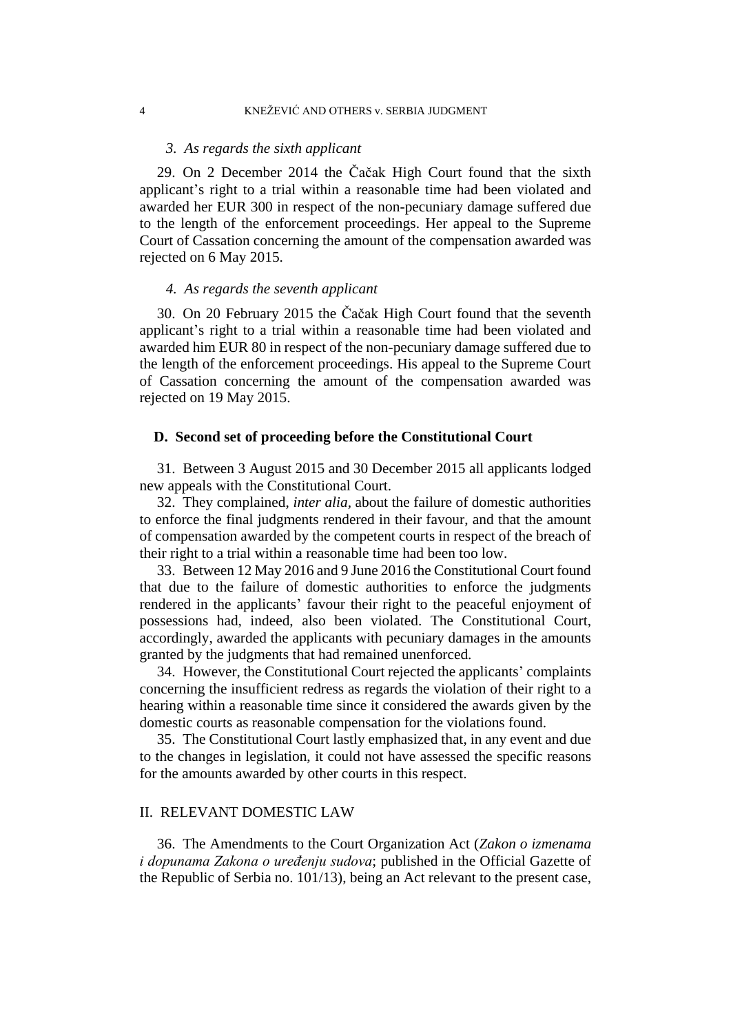#### *3. As regards the sixth applicant*

29. On 2 December 2014 the Čačak High Court found that the sixth applicant's right to a trial within a reasonable time had been violated and awarded her EUR 300 in respect of the non-pecuniary damage suffered due to the length of the enforcement proceedings. Her appeal to the Supreme Court of Cassation concerning the amount of the compensation awarded was rejected on 6 May 2015.

#### *4. As regards the seventh applicant*

<span id="page-5-1"></span>30. On 20 February 2015 the Čačak High Court found that the seventh applicant's right to a trial within a reasonable time had been violated and awarded him EUR 80 in respect of the non-pecuniary damage suffered due to the length of the enforcement proceedings. His appeal to the Supreme Court of Cassation concerning the amount of the compensation awarded was rejected on 19 May 2015.

#### **D. Second set of proceeding before the Constitutional Court**

31. Between 3 August 2015 and 30 December 2015 all applicants lodged new appeals with the Constitutional Court.

32. They complained, *inter alia,* about the failure of domestic authorities to enforce the final judgments rendered in their favour, and that the amount of compensation awarded by the competent courts in respect of the breach of their right to a trial within a reasonable time had been too low.

33. Between 12 May 2016 and 9 June 2016 the Constitutional Court found that due to the failure of domestic authorities to enforce the judgments rendered in the applicants' favour their right to the peaceful enjoyment of possessions had, indeed, also been violated. The Constitutional Court, accordingly, awarded the applicants with pecuniary damages in the amounts granted by the judgments that had remained unenforced.

34. However, the Constitutional Court rejected the applicants' complaints concerning the insufficient redress as regards the violation of their right to a hearing within a reasonable time since it considered the awards given by the domestic courts as reasonable compensation for the violations found.

35. The Constitutional Court lastly emphasized that, in any event and due to the changes in legislation, it could not have assessed the specific reasons for the amounts awarded by other courts in this respect.

#### II. RELEVANT DOMESTIC LAW

<span id="page-5-0"></span>36. The Amendments to the Court Organization Act (*Zakon o izmenama i dopunama Zakona o uređenju sudova*; published in the Official Gazette of the Republic of Serbia no. 101/13), being an Act relevant to the present case,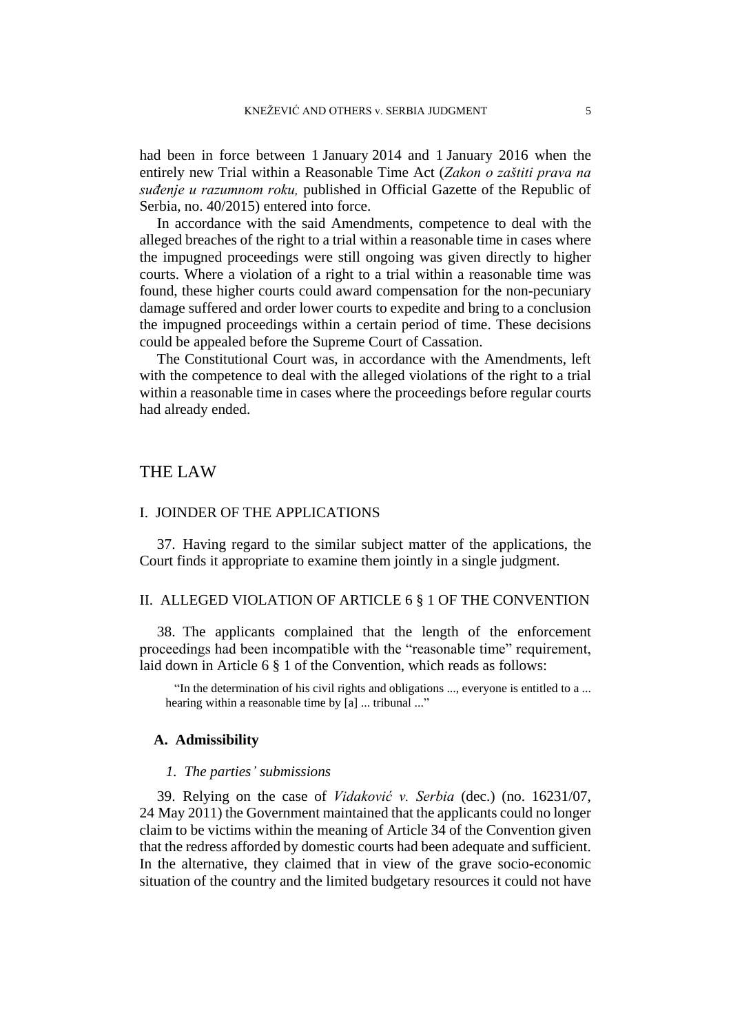had been in force between 1 January 2014 and 1 January 2016 when the entirely new Trial within a Reasonable Time Act (*Zakon o zaštiti prava na suđenje u razumnom roku,* published in Official Gazette of the Republic of Serbia, no. 40/2015) entered into force.

In accordance with the said Amendments, competence to deal with the alleged breaches of the right to a trial within a reasonable time in cases where the impugned proceedings were still ongoing was given directly to higher courts. Where a violation of a right to a trial within a reasonable time was found, these higher courts could award compensation for the non-pecuniary damage suffered and order lower courts to expedite and bring to a conclusion the impugned proceedings within a certain period of time. These decisions could be appealed before the Supreme Court of Cassation.

The Constitutional Court was, in accordance with the Amendments, left with the competence to deal with the alleged violations of the right to a trial within a reasonable time in cases where the proceedings before regular courts had already ended.

## THE LAW

#### I. JOINDER OF THE APPLICATIONS

37. Having regard to the similar subject matter of the applications, the Court finds it appropriate to examine them jointly in a single judgment.

## II. ALLEGED VIOLATION OF ARTICLE 6 § 1 OF THE CONVENTION

38. The applicants complained that the length of the enforcement proceedings had been incompatible with the "reasonable time" requirement, laid down in Article 6 § 1 of the Convention, which reads as follows:

"In the determination of his civil rights and obligations ..., everyone is entitled to a ... hearing within a reasonable time by [a] ... tribunal ..."

#### **A. Admissibility**

#### *1. The parties' submissions*

39. Relying on the case of *Vidaković v. Serbia* (dec.) (no. 16231/07, 24 May 2011) the Government maintained that the applicants could no longer claim to be victims within the meaning of Article 34 of the Convention given that the redress afforded by domestic courts had been adequate and sufficient. In the alternative, they claimed that in view of the grave socio-economic situation of the country and the limited budgetary resources it could not have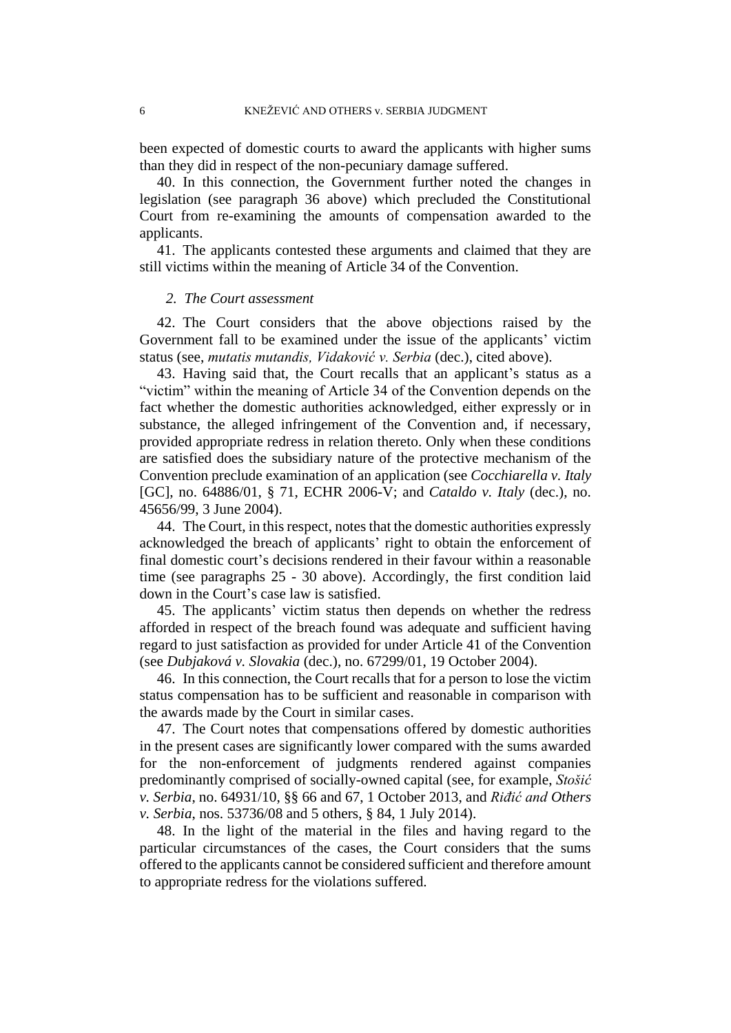been expected of domestic courts to award the applicants with higher sums than they did in respect of the non-pecuniary damage suffered.

40. In this connection, the Government further noted the changes in legislation (see paragraph [36](#page-5-0) above) which precluded the Constitutional Court from re-examining the amounts of compensation awarded to the applicants.

41. The applicants contested these arguments and claimed that they are still victims within the meaning of Article 34 of the Convention.

#### *2. The Court assessment*

42. The Court considers that the above objections raised by the Government fall to be examined under the issue of the applicants' victim status (see, *mutatis mutandis, Vidaković v. Serbia* (dec.), cited above).

43. Having said that, the Court recalls that an applicant's status as a "victim" within the meaning of Article 34 of the Convention depends on the fact whether the domestic authorities acknowledged, either expressly or in substance, the alleged infringement of the Convention and, if necessary, provided appropriate redress in relation thereto. Only when these conditions are satisfied does the subsidiary nature of the protective mechanism of the Convention preclude examination of an application (see *Cocchiarella v. Italy* [GC], no. 64886/01, § 71, ECHR 2006-V; and *Cataldo v. Italy* (dec.), no. 45656/99, 3 June 2004).

44. The Court, in this respect, notes that the domestic authorities expressly acknowledged the breach of applicants' right to obtain the enforcement of final domestic court's decisions rendered in their favour within a reasonable time (see paragraphs [25](#page-4-0) - [30](#page-5-1) above). Accordingly, the first condition laid down in the Court's case law is satisfied.

45. The applicants' victim status then depends on whether the redress afforded in respect of the breach found was adequate and sufficient having regard to just satisfaction as provided for under Article 41 of the Convention (see *Dubjaková v. Slovakia* (dec.), no. 67299/01, 19 October 2004).

46. In this connection, the Court recalls that for a person to lose the victim status compensation has to be sufficient and reasonable in comparison with the awards made by the Court in similar cases.

47. The Court notes that compensations offered by domestic authorities in the present cases are significantly lower compared with the sums awarded for the non-enforcement of judgments rendered against companies predominantly comprised of socially-owned capital (see, for example, *Stošić v. Serbia*, no. 64931/10, §§ 66 and 67, 1 October 2013, and *Riđić and Others v. Serbia*, nos. 53736/08 and 5 others, § 84, 1 July 2014).

48. In the light of the material in the files and having regard to the particular circumstances of the cases, the Court considers that the sums offered to the applicants cannot be considered sufficient and therefore amount to appropriate redress for the violations suffered.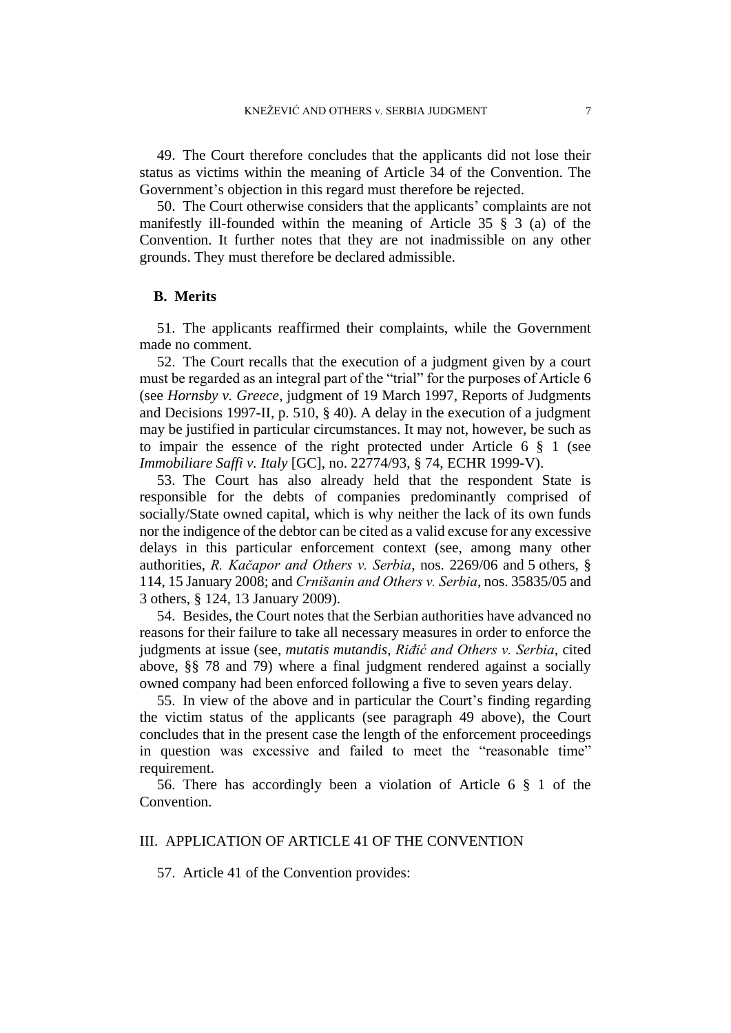<span id="page-8-0"></span>49. The Court therefore concludes that the applicants did not lose their status as victims within the meaning of Article 34 of the Convention. The Government's objection in this regard must therefore be rejected.

50. The Court otherwise considers that the applicants' complaints are not manifestly ill-founded within the meaning of Article 35 § 3 (a) of the Convention. It further notes that they are not inadmissible on any other grounds. They must therefore be declared admissible.

#### **B. Merits**

51. The applicants reaffirmed their complaints, while the Government made no comment.

52. The Court recalls that the execution of a judgment given by a court must be regarded as an integral part of the "trial" for the purposes of Article 6 (see *Hornsby v. Greece*, judgment of 19 March 1997, Reports of Judgments and Decisions 1997-II, p. 510, § 40). A delay in the execution of a judgment may be justified in particular circumstances. It may not, however, be such as to impair the essence of the right protected under Article 6 § 1 (see *Immobiliare Saffi v. Italy* [GC], no. 22774/93, § 74, ECHR 1999-V).

53. The Court has also already held that the respondent State is responsible for the debts of companies predominantly comprised of socially/State owned capital, which is why neither the lack of its own funds nor the indigence of the debtor can be cited as a valid excuse for any excessive delays in this particular enforcement context (see, among many other authorities, *R. Kačapor and Others v. Serbia*, nos. 2269/06 and 5 others, § 114, 15 January 2008; and *Crnišanin and Others v. Serbia*, nos. 35835/05 and 3 others, § 124, 13 January 2009).

54. Besides, the Court notes that the Serbian authorities have advanced no reasons for their failure to take all necessary measures in order to enforce the judgments at issue (see, *mutatis mutandis*, *Riđić and Others v. Serbia*, cited above, §§ 78 and 79) where a final judgment rendered against a socially owned company had been enforced following a five to seven years delay.

55. In view of the above and in particular the Court's finding regarding the victim status of the applicants (see paragraph [49](#page-8-0) above), the Court concludes that in the present case the length of the enforcement proceedings in question was excessive and failed to meet the "reasonable time" requirement.

56. There has accordingly been a violation of Article 6 § 1 of the Convention.

## III. APPLICATION OF ARTICLE 41 OF THE CONVENTION

57. Article 41 of the Convention provides: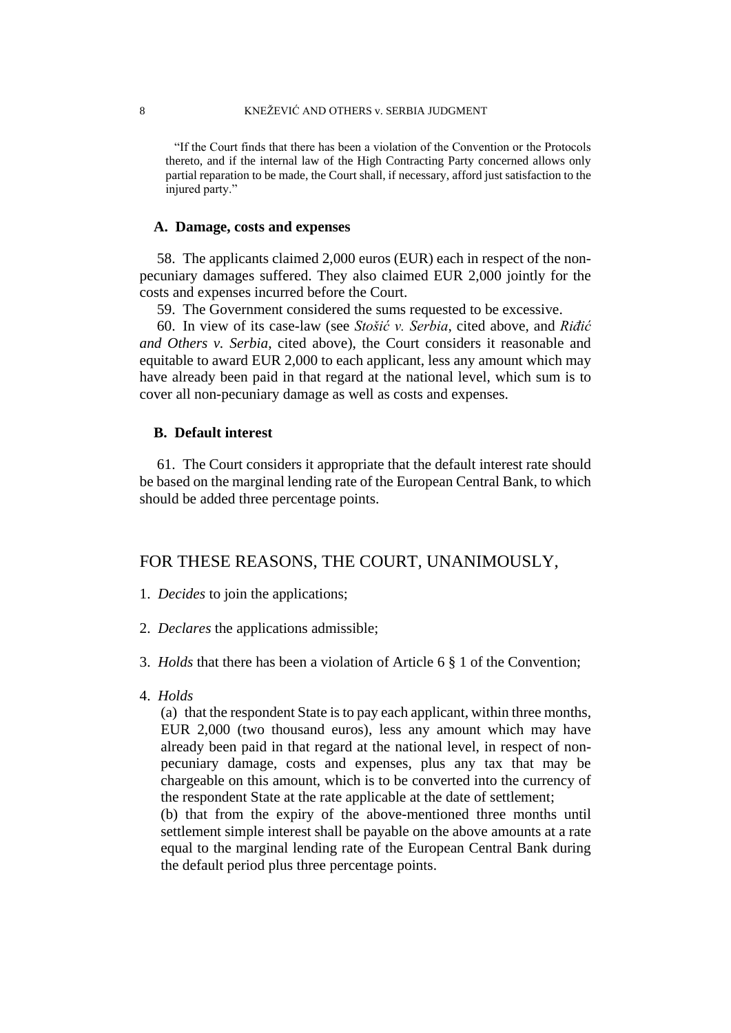"If the Court finds that there has been a violation of the Convention or the Protocols thereto, and if the internal law of the High Contracting Party concerned allows only partial reparation to be made, the Court shall, if necessary, afford just satisfaction to the injured party."

#### **A. Damage, costs and expenses**

58. The applicants claimed 2,000 euros (EUR) each in respect of the nonpecuniary damages suffered. They also claimed EUR 2,000 jointly for the costs and expenses incurred before the Court.

59. The Government considered the sums requested to be excessive.

60. In view of its case-law (see *Stošić v. Serbia*, cited above, and *Riđić and Others v. Serbia*, cited above), the Court considers it reasonable and equitable to award EUR 2,000 to each applicant, less any amount which may have already been paid in that regard at the national level, which sum is to cover all non-pecuniary damage as well as costs and expenses.

#### **B. Default interest**

61. The Court considers it appropriate that the default interest rate should be based on the marginal lending rate of the European Central Bank, to which should be added three percentage points.

## FOR THESE REASONS, THE COURT, UNANIMOUSLY,

- 1. *Decides* to join the applications;
- 2. *Declares* the applications admissible;
- 3. *Holds* that there has been a violation of Article 6 § 1 of the Convention;
- 4. *Holds*

(a) that the respondent State is to pay each applicant, within three months, EUR 2,000 (two thousand euros), less any amount which may have already been paid in that regard at the national level, in respect of nonpecuniary damage, costs and expenses, plus any tax that may be chargeable on this amount, which is to be converted into the currency of the respondent State at the rate applicable at the date of settlement;

(b) that from the expiry of the above-mentioned three months until settlement simple interest shall be payable on the above amounts at a rate equal to the marginal lending rate of the European Central Bank during the default period plus three percentage points.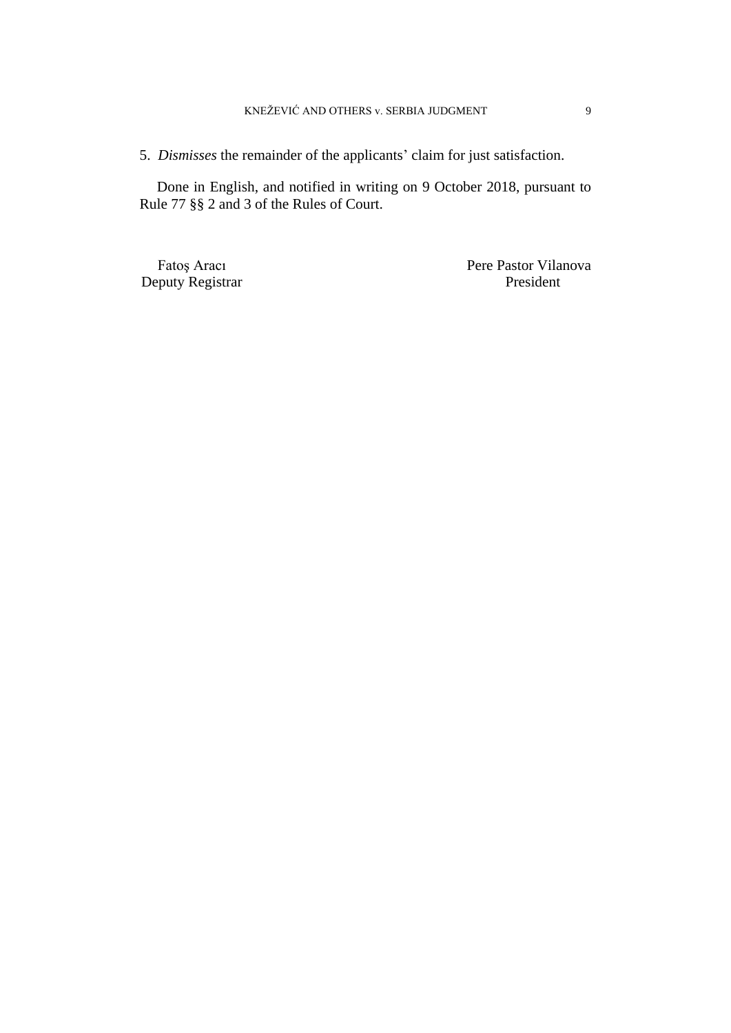5. *Dismisses* the remainder of the applicants' claim for just satisfaction.

Done in English, and notified in writing on 9 October 2018, pursuant to Rule 77 §§ 2 and 3 of the Rules of Court.

Deputy Registrar

Fatoş Aracı Pere Pastor Vilanova<br>
Pere Pastor Vilanova<br>
Pere Pastor Vilanova<br>
Pere Pastor Vilanova<br>
Pere Pastor Vilanova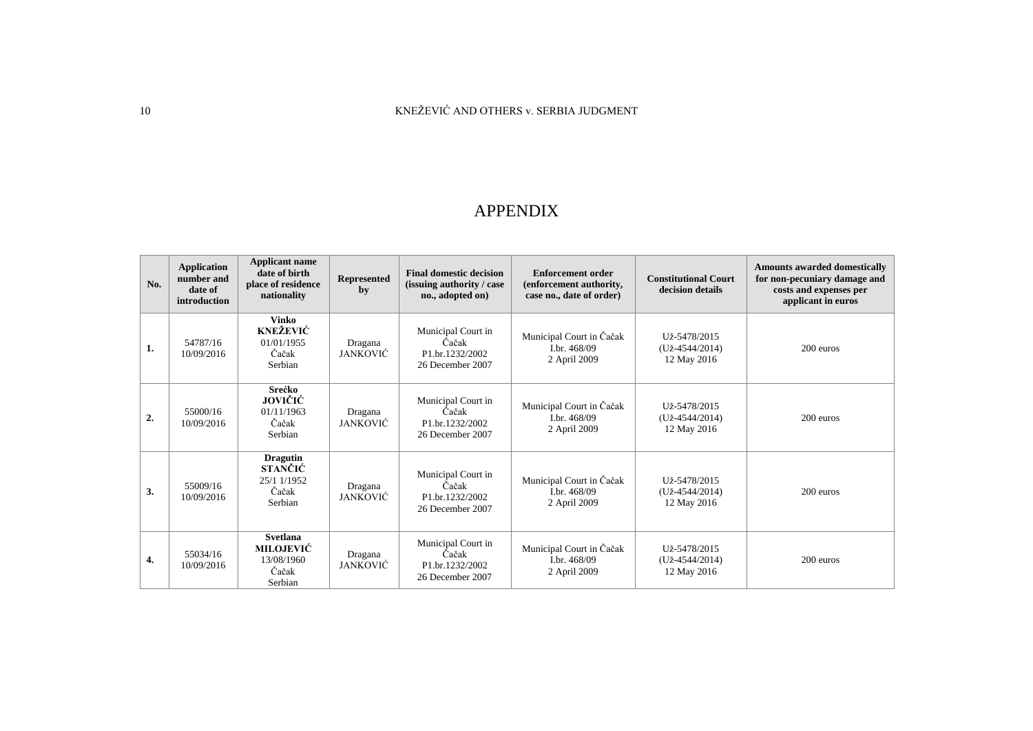## 10 KNEŽEVIĆ AND OTHERS v. SERBIA JUDGMENT

## APPENDIX

| No. | <b>Application</b><br>number and<br>date of<br>introduction | <b>Applicant name</b><br>date of birth<br>place of residence<br>nationality | <b>Represented</b><br>by   | <b>Final domestic decision</b><br>(issuing authority / case)<br>no., adopted on) | <b>Enforcement order</b><br>(enforcement authority,<br>case no., date of order) | <b>Constitutional Court</b><br>decision details      | <b>Amounts awarded domestically</b><br>for non-pecuniary damage and<br>costs and expenses per<br>applicant in euros |
|-----|-------------------------------------------------------------|-----------------------------------------------------------------------------|----------------------------|----------------------------------------------------------------------------------|---------------------------------------------------------------------------------|------------------------------------------------------|---------------------------------------------------------------------------------------------------------------------|
| 1.  | 54787/16<br>10/09/2016                                      | Vinko<br><b>KNEŽEVIĆ</b><br>01/01/1955<br>Čačak<br>Serbian                  | Dragana<br><b>JANKOVIĆ</b> | Municipal Court in<br>Čačak<br>P1.br.1232/2002<br>26 December 2007               | Municipal Court in Čačak<br>I.br. 468/09<br>2 April 2009                        | Už-5478/2015<br>$(U_{Z} - 4544/2014)$<br>12 May 2016 | 200 euros                                                                                                           |
| 2.  | 55000/16<br>10/09/2016                                      | Srećko<br>JOVIČIĆ<br>01/11/1963<br>Čačak<br>Serbian                         | Dragana<br>JANKOVIĆ        | Municipal Court in<br>Čačak<br>P1.br.1232/2002<br>26 December 2007               | Municipal Court in Čačak<br>Lbr. 468/09<br>2 April 2009                         | Už-5478/2015<br>$(U_{Z} - 4544/2014)$<br>12 May 2016 | 200 euros                                                                                                           |
| 3.  | 55009/16<br>10/09/2016                                      | <b>Dragutin</b><br><b>STANČIĆ</b><br>25/1 1/1952<br>Čačak<br>Serbian        | Dragana<br>JANKOVIĆ        | Municipal Court in<br>Čačak<br>P1.br.1232/2002<br>26 December 2007               | Municipal Court in Čačak<br>Lbr. 468/09<br>2 April 2009                         | Už-5478/2015<br>$(U_{Z} - 4544/2014)$<br>12 May 2016 | 200 euros                                                                                                           |
| 4.  | 55034/16<br>10/09/2016                                      | <b>Svetlana</b><br><b>MILOJEVIĆ</b><br>13/08/1960<br>Čačak<br>Serbian       | Dragana<br><b>JANKOVIĆ</b> | Municipal Court in<br>Čačak<br>P1.br.1232/2002<br>26 December 2007               | Municipal Court in Čačak<br>Lbr. 468/09<br>2 April 2009                         | Už-5478/2015<br>$(U_{Z} - 4544/2014)$<br>12 May 2016 | 200 euros                                                                                                           |